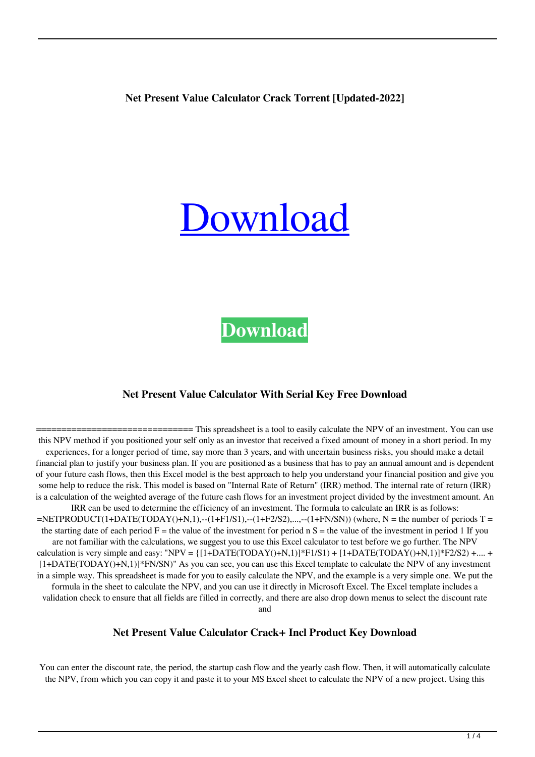# [Download](http://evacdir.com/ZG93bmxvYWR8YngxTnpBMWZId3hOalUwTlRJeU1URXdmSHd5TlRjMGZId29UU2tnY21WaFpDMWliRzluSUZ0R1lYTjBJRWRGVGww.gratifies.stocksatbottom.invocations/TmV0IFByZXNlbnQgVmFsdWUgQ2FsY3VsYXRvcgTmV/suspiciously=)

**[Download](http://evacdir.com/ZG93bmxvYWR8YngxTnpBMWZId3hOalUwTlRJeU1URXdmSHd5TlRjMGZId29UU2tnY21WaFpDMWliRzluSUZ0R1lYTjBJRWRGVGww.gratifies.stocksatbottom.invocations/TmV0IFByZXNlbnQgVmFsdWUgQ2FsY3VsYXRvcgTmV/suspiciously=)**

#### **Net Present Value Calculator With Serial Key Free Download**

= This spreadsheet is a tool to easily calculate the NPV of an investment. You can use this NPV method if you positioned your self only as an investor that received a fixed amount of money in a short period. In my experiences, for a longer period of time, say more than 3 years, and with uncertain business risks, you should make a detail financial plan to justify your business plan. If you are positioned as a business that has to pay an annual amount and is dependent of your future cash flows, then this Excel model is the best approach to help you understand your financial position and give you some help to reduce the risk. This model is based on "Internal Rate of Return" (IRR) method. The internal rate of return (IRR) is a calculation of the weighted average of the future cash flows for an investment project divided by the investment amount. An IRR can be used to determine the efficiency of an investment. The formula to calculate an IRR is as follows:  $=$ NETPRODUCT(1+DATE(TODAY()+N,1),--(1+F1/S1),--(1+F2/S2),...,--(1+FN/SN)) (where, N = the number of periods T = the starting date of each period  $F =$  the value of the investment for period n S = the value of the investment in period 1 If you are not familiar with the calculations, we suggest you to use this Excel calculator to test before we go further. The NPV calculation is very simple and easy: "NPV =  $\{[1+DATE(TODAY() + N,1)]*F1/S1) + [1+DATE(TODAY() + N,1)]*F2/S2) + ... +$ [1+DATE(TODAY()+N,1)]\*FN/SN)" As you can see, you can use this Excel template to calculate the NPV of any investment in a simple way. This spreadsheet is made for you to easily calculate the NPV, and the example is a very simple one. We put the formula in the sheet to calculate the NPV, and you can use it directly in Microsoft Excel. The Excel template includes a validation check to ensure that all fields are filled in correctly, and there are also drop down menus to select the discount rate and

#### **Net Present Value Calculator Crack+ Incl Product Key Download**

You can enter the discount rate, the period, the startup cash flow and the yearly cash flow. Then, it will automatically calculate the NPV, from which you can copy it and paste it to your MS Excel sheet to calculate the NPV of a new project. Using this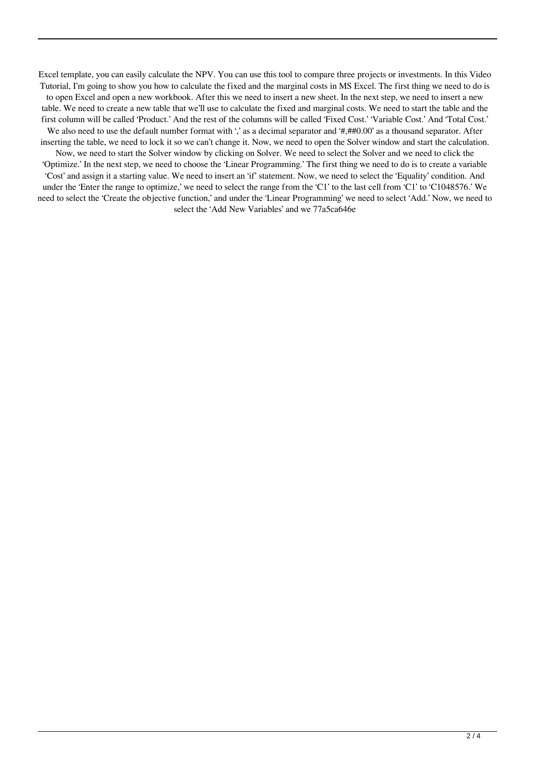Excel template, you can easily calculate the NPV. You can use this tool to compare three projects or investments. In this Video Tutorial, I'm going to show you how to calculate the fixed and the marginal costs in MS Excel. The first thing we need to do is to open Excel and open a new workbook. After this we need to insert a new sheet. In the next step, we need to insert a new table. We need to create a new table that we'll use to calculate the fixed and marginal costs. We need to start the table and the first column will be called 'Product.' And the rest of the columns will be called 'Fixed Cost.' 'Variable Cost.' And 'Total Cost.' We also need to use the default number format with ',' as a decimal separator and '#,##0.00' as a thousand separator. After inserting the table, we need to lock it so we can't change it. Now, we need to open the Solver window and start the calculation. Now, we need to start the Solver window by clicking on Solver. We need to select the Solver and we need to click the 'Optimize.' In the next step, we need to choose the 'Linear Programming.' The first thing we need to do is to create a variable 'Cost' and assign it a starting value. We need to insert an 'if' statement. Now, we need to select the 'Equality' condition. And under the 'Enter the range to optimize,' we need to select the range from the 'C1' to the last cell from 'C1' to 'C1048576.' We need to select the 'Create the objective function,' and under the 'Linear Programming' we need to select 'Add.' Now, we need to select the 'Add New Variables' and we 77a5ca646e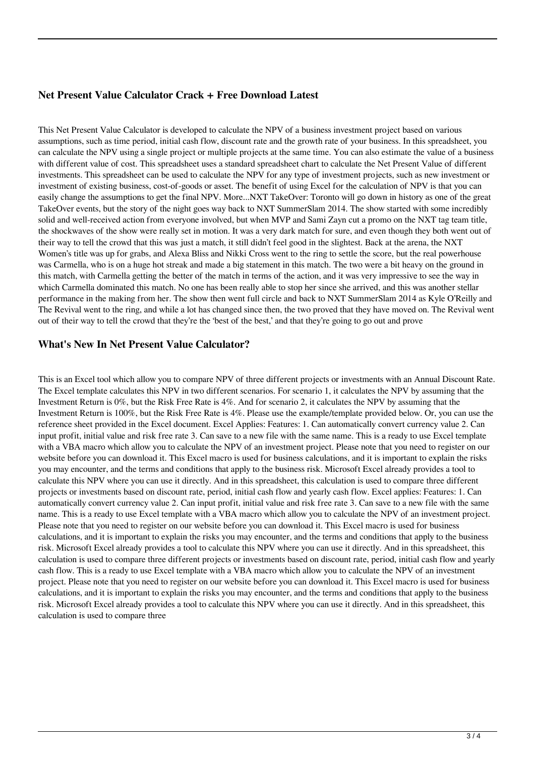## **Net Present Value Calculator Crack + Free Download Latest**

This Net Present Value Calculator is developed to calculate the NPV of a business investment project based on various assumptions, such as time period, initial cash flow, discount rate and the growth rate of your business. In this spreadsheet, you can calculate the NPV using a single project or multiple projects at the same time. You can also estimate the value of a business with different value of cost. This spreadsheet uses a standard spreadsheet chart to calculate the Net Present Value of different investments. This spreadsheet can be used to calculate the NPV for any type of investment projects, such as new investment or investment of existing business, cost-of-goods or asset. The benefit of using Excel for the calculation of NPV is that you can easily change the assumptions to get the final NPV. More...NXT TakeOver: Toronto will go down in history as one of the great TakeOver events, but the story of the night goes way back to NXT SummerSlam 2014. The show started with some incredibly solid and well-received action from everyone involved, but when MVP and Sami Zayn cut a promo on the NXT tag team title, the shockwaves of the show were really set in motion. It was a very dark match for sure, and even though they both went out of their way to tell the crowd that this was just a match, it still didn't feel good in the slightest. Back at the arena, the NXT Women's title was up for grabs, and Alexa Bliss and Nikki Cross went to the ring to settle the score, but the real powerhouse was Carmella, who is on a huge hot streak and made a big statement in this match. The two were a bit heavy on the ground in this match, with Carmella getting the better of the match in terms of the action, and it was very impressive to see the way in which Carmella dominated this match. No one has been really able to stop her since she arrived, and this was another stellar performance in the making from her. The show then went full circle and back to NXT SummerSlam 2014 as Kyle O'Reilly and The Revival went to the ring, and while a lot has changed since then, the two proved that they have moved on. The Revival went out of their way to tell the crowd that they're the 'best of the best,' and that they're going to go out and prove

## **What's New In Net Present Value Calculator?**

This is an Excel tool which allow you to compare NPV of three different projects or investments with an Annual Discount Rate. The Excel template calculates this NPV in two different scenarios. For scenario 1, it calculates the NPV by assuming that the Investment Return is 0%, but the Risk Free Rate is 4%. And for scenario 2, it calculates the NPV by assuming that the Investment Return is 100%, but the Risk Free Rate is 4%. Please use the example/template provided below. Or, you can use the reference sheet provided in the Excel document. Excel Applies: Features: 1. Can automatically convert currency value 2. Can input profit, initial value and risk free rate 3. Can save to a new file with the same name. This is a ready to use Excel template with a VBA macro which allow you to calculate the NPV of an investment project. Please note that you need to register on our website before you can download it. This Excel macro is used for business calculations, and it is important to explain the risks you may encounter, and the terms and conditions that apply to the business risk. Microsoft Excel already provides a tool to calculate this NPV where you can use it directly. And in this spreadsheet, this calculation is used to compare three different projects or investments based on discount rate, period, initial cash flow and yearly cash flow. Excel applies: Features: 1. Can automatically convert currency value 2. Can input profit, initial value and risk free rate 3. Can save to a new file with the same name. This is a ready to use Excel template with a VBA macro which allow you to calculate the NPV of an investment project. Please note that you need to register on our website before you can download it. This Excel macro is used for business calculations, and it is important to explain the risks you may encounter, and the terms and conditions that apply to the business risk. Microsoft Excel already provides a tool to calculate this NPV where you can use it directly. And in this spreadsheet, this calculation is used to compare three different projects or investments based on discount rate, period, initial cash flow and yearly cash flow. This is a ready to use Excel template with a VBA macro which allow you to calculate the NPV of an investment project. Please note that you need to register on our website before you can download it. This Excel macro is used for business calculations, and it is important to explain the risks you may encounter, and the terms and conditions that apply to the business risk. Microsoft Excel already provides a tool to calculate this NPV where you can use it directly. And in this spreadsheet, this calculation is used to compare three